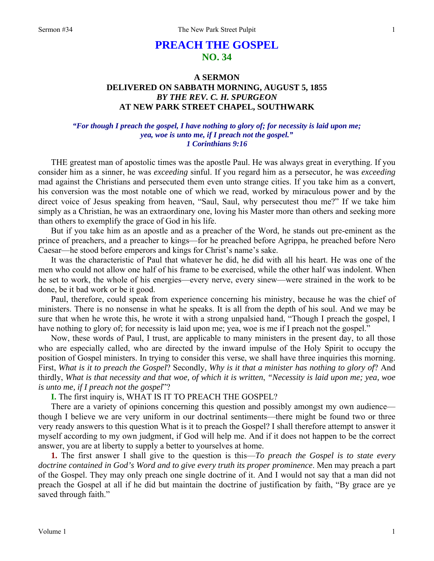# **PREACH THE GOSPEL NO. 34**

## **A SERMON DELIVERED ON SABBATH MORNING, AUGUST 5, 1855**  *BY THE REV. C. H. SPURGEON*  **AT NEW PARK STREET CHAPEL, SOUTHWARK**

#### *"For though I preach the gospel, I have nothing to glory of; for necessity is laid upon me; yea, woe is unto me, if I preach not the gospel." 1 Corinthians 9:16*

THE greatest man of apostolic times was the apostle Paul. He was always great in everything. If you consider him as a sinner, he was *exceeding* sinful. If you regard him as a persecutor, he was *exceeding*  mad against the Christians and persecuted them even unto strange cities. If you take him as a convert, his conversion was the most notable one of which we read, worked by miraculous power and by the direct voice of Jesus speaking from heaven, "Saul, Saul, why persecutest thou me?" If we take him simply as a Christian, he was an extraordinary one, loving his Master more than others and seeking more than others to exemplify the grace of God in his life.

But if you take him as an apostle and as a preacher of the Word, he stands out pre-eminent as the prince of preachers, and a preacher to kings—for he preached before Agrippa, he preached before Nero Caesar—he stood before emperors and kings for Christ's name's sake.

It was the characteristic of Paul that whatever he did, he did with all his heart. He was one of the men who could not allow one half of his frame to be exercised, while the other half was indolent. When he set to work, the whole of his energies—every nerve, every sinew—were strained in the work to be done, be it bad work or be it good.

Paul, therefore, could speak from experience concerning his ministry, because he was the chief of ministers. There is no nonsense in what he speaks. It is all from the depth of his soul. And we may be sure that when he wrote this, he wrote it with a strong unpalsied hand, "Though I preach the gospel, I have nothing to glory of; for necessity is laid upon me; yea, woe is me if I preach not the gospel."

Now, these words of Paul, I trust, are applicable to many ministers in the present day, to all those who are especially called, who are directed by the inward impulse of the Holy Spirit to occupy the position of Gospel ministers. In trying to consider this verse, we shall have three inquiries this morning. First, *What is it to preach the Gospel*? Secondly, *Why is it that a minister has nothing to glory of*? And thirdly, *What is that necessity and that woe, of which it is written*, *"Necessity is laid upon me; yea, woe is unto me, if I preach not the gospel*"?

**I.** The first inquiry is, WHAT IS IT TO PREACH THE GOSPEL?

There are a variety of opinions concerning this question and possibly amongst my own audience though I believe we are very uniform in our doctrinal sentiments—there might be found two or three very ready answers to this question What is it to preach the Gospel? I shall therefore attempt to answer it myself according to my own judgment, if God will help me. And if it does not happen to be the correct answer, you are at liberty to supply a better to yourselves at home.

**1.** The first answer I shall give to the question is this—*To preach the Gospel is to state every doctrine contained in God's Word and to give every truth its proper prominence*. Men may preach a part of the Gospel. They may only preach one single doctrine of it. And I would not say that a man did not preach the Gospel at all if he did but maintain the doctrine of justification by faith, "By grace are ye saved through faith."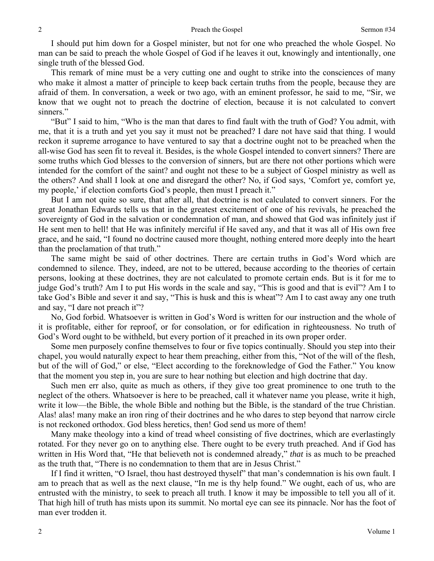I should put him down for a Gospel minister, but not for one who preached the whole Gospel. No man can be said to preach the whole Gospel of God if he leaves it out, knowingly and intentionally, one single truth of the blessed God.

This remark of mine must be a very cutting one and ought to strike into the consciences of many who make it almost a matter of principle to keep back certain truths from the people, because they are afraid of them. In conversation, a week or two ago, with an eminent professor, he said to me, "Sir, we know that we ought not to preach the doctrine of election, because it is not calculated to convert sinners."

"But" I said to him, "Who is the man that dares to find fault with the truth of God? You admit, with me, that it is a truth and yet you say it must not be preached? I dare not have said that thing. I would reckon it supreme arrogance to have ventured to say that a doctrine ought not to be preached when the all-wise God has seen fit to reveal it. Besides, is the whole Gospel intended to convert sinners? There are some truths which God blesses to the conversion of sinners, but are there not other portions which were intended for the comfort of the saint? and ought not these to be a subject of Gospel ministry as well as the others? And shall I look at one and disregard the other? No, if God says, 'Comfort ye, comfort ye, my people,' if election comforts God's people, then must I preach it."

But I am not quite so sure, that after all, that doctrine is not calculated to convert sinners. For the great Jonathan Edwards tells us that in the greatest excitement of one of his revivals, he preached the sovereignty of God in the salvation or condemnation of man, and showed that God was infinitely just if He sent men to hell! that He was infinitely merciful if He saved any, and that it was all of His own free grace, and he said, "I found no doctrine caused more thought, nothing entered more deeply into the heart than the proclamation of that truth."

The same might be said of other doctrines. There are certain truths in God's Word which are condemned to silence. They, indeed, are not to be uttered, because according to the theories of certain persons, looking at these doctrines, they are not calculated to promote certain ends. But is it for me to judge God's truth? Am I to put His words in the scale and say, "This is good and that is evil"? Am I to take God's Bible and sever it and say, "This is husk and this is wheat"? Am I to cast away any one truth and say, "I dare not preach it"?

No, God forbid. Whatsoever is written in God's Word is written for our instruction and the whole of it is profitable, either for reproof, or for consolation, or for edification in righteousness. No truth of God's Word ought to be withheld, but every portion of it preached in its own proper order.

Some men purposely confine themselves to four or five topics continually. Should you step into their chapel, you would naturally expect to hear them preaching, either from this, "Not of the will of the flesh, but of the will of God," or else, "Elect according to the foreknowledge of God the Father." You know that the moment you step in, you are sure to hear nothing but election and high doctrine that day.

Such men err also, quite as much as others, if they give too great prominence to one truth to the neglect of the others. Whatsoever is here to be preached, call it whatever name you please, write it high, write it low—the Bible, the whole Bible and nothing but the Bible, is the standard of the true Christian. Alas! alas! many make an iron ring of their doctrines and he who dares to step beyond that narrow circle is not reckoned orthodox. God bless heretics, then! God send us more of them!

Many make theology into a kind of tread wheel consisting of five doctrines, which are everlastingly rotated. For they never go on to anything else. There ought to be every truth preached. And if God has written in His Word that, "He that believeth not is condemned already," *that* is as much to be preached as the truth that, "There is no condemnation to them that are in Jesus Christ."

If I find it written, "O Israel, thou hast destroyed thyself" that man's condemnation is his own fault. I am to preach that as well as the next clause, "In me is thy help found." We ought, each of us, who are entrusted with the ministry, to seek to preach all truth. I know it may be impossible to tell you all of it. That high hill of truth has mists upon its summit. No mortal eye can see its pinnacle. Nor has the foot of man ever trodden it.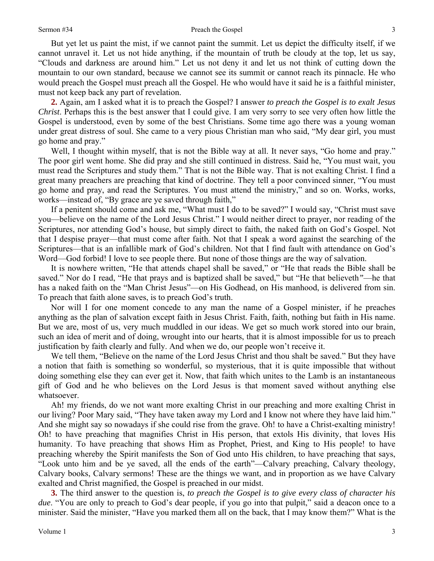But yet let us paint the mist, if we cannot paint the summit. Let us depict the difficulty itself, if we cannot unravel it. Let us not hide anything, if the mountain of truth be cloudy at the top, let us say, "Clouds and darkness are around him." Let us not deny it and let us not think of cutting down the mountain to our own standard, because we cannot see its summit or cannot reach its pinnacle. He who would preach the Gospel must preach all the Gospel. He who would have it said he is a faithful minister, must not keep back any part of revelation.

**2.** Again, am I asked what it is to preach the Gospel? I answer *to preach the Gospel is to exalt Jesus Christ*. Perhaps this is the best answer that I could give. I am very sorry to see very often how little the Gospel is understood, even by some of the best Christians. Some time ago there was a young woman under great distress of soul. She came to a very pious Christian man who said, "My dear girl, you must go home and pray."

Well, I thought within myself, that is not the Bible way at all. It never says, "Go home and pray." The poor girl went home. She did pray and she still continued in distress. Said he, "You must wait, you must read the Scriptures and study them." That is not the Bible way. That is not exalting Christ. I find a great many preachers are preaching that kind of doctrine. They tell a poor convinced sinner, "You must go home and pray, and read the Scriptures. You must attend the ministry," and so on. Works, works, works—instead of, "By grace are ye saved through faith,"

If a penitent should come and ask me, "What must I do to be saved?" I would say, "Christ must save you—believe on the name of the Lord Jesus Christ." I would neither direct to prayer, nor reading of the Scriptures, nor attending God's house, but simply direct to faith, the naked faith on God's Gospel. Not that I despise prayer—that must come after faith. Not that I speak a word against the searching of the Scriptures—that is an infallible mark of God's children. Not that I find fault with attendance on God's Word—God forbid! I love to see people there. But none of those things are the way of salvation.

It is nowhere written, "He that attends chapel shall be saved," or "He that reads the Bible shall be saved." Nor do I read, "He that prays and is baptized shall be saved," but "He that believeth*"*—he that has a naked faith on the "Man Christ Jesus"—on His Godhead, on His manhood, is delivered from sin. To preach that faith alone saves, is to preach God's truth.

Nor will I for one moment concede to any man the name of a Gospel minister, if he preaches anything as the plan of salvation except faith in Jesus Christ. Faith, faith, nothing but faith in His name. But we are, most of us, very much muddled in our ideas. We get so much work stored into our brain, such an idea of merit and of doing, wrought into our hearts, that it is almost impossible for us to preach justification by faith clearly and fully. And when we do, our people won't receive it.

We tell them, "Believe on the name of the Lord Jesus Christ and thou shalt be saved." But they have a notion that faith is something so wonderful, so mysterious, that it is quite impossible that without doing something else they can ever get it. Now, that faith which unites to the Lamb is an instantaneous gift of God and he who believes on the Lord Jesus is that moment saved without anything else whatsoever.

Ah! my friends, do we not want more exalting Christ in our preaching and more exalting Christ in our living? Poor Mary said, "They have taken away my Lord and I know not where they have laid him." And she might say so nowadays if she could rise from the grave. Oh! to have a Christ-exalting ministry! Oh! to have preaching that magnifies Christ in His person, that extols His divinity, that loves His humanity. To have preaching that shows Him as Prophet, Priest, and King to His people! to have preaching whereby the Spirit manifests the Son of God unto His children, to have preaching that says, "Look unto him and be ye saved, all the ends of the earth"—Calvary preaching, Calvary theology, Calvary books, Calvary sermons! These are the things we want, and in proportion as we have Calvary exalted and Christ magnified, the Gospel is preached in our midst.

**3.** The third answer to the question is, *to preach the Gospel is to give every class of character his due*. "You are only to preach to God's dear people, if you go into that pulpit," said a deacon once to a minister. Said the minister, "Have you marked them all on the back, that I may know them?" What is the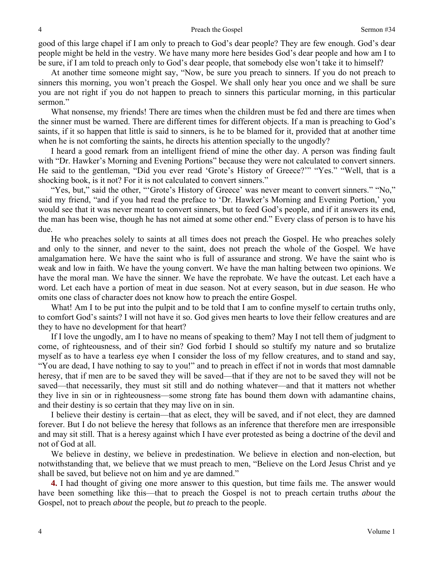good of this large chapel if I am only to preach to God's dear people? They are few enough. God's dear people might be held in the vestry. We have many more here besides God's dear people and how am I to be sure, if I am told to preach only to God's dear people, that somebody else won't take it to himself?

At another time someone might say, "Now, be sure you preach to sinners. If you do not preach to sinners this morning, you won't preach the Gospel. We shall only hear you once and we shall be sure you are not right if you do not happen to preach to sinners this particular morning, in this particular sermon."

What nonsense, my friends! There are times when the children must be fed and there are times when the sinner must be warned. There are different times for different objects. If a man is preaching to God's saints, if it so happen that little is said to sinners, is he to be blamed for it, provided that at another time when he is not comforting the saints, he directs his attention specially to the ungodly?

I heard a good remark from an intelligent friend of mine the other day. A person was finding fault with "Dr. Hawker's Morning and Evening Portions" because they were not calculated to convert sinners. He said to the gentleman, "Did you ever read 'Grote's History of Greece?'" "Yes." "Well, that is a shocking book, is it not? For it is not calculated to convert sinners."

"Yes, but," said the other, "'Grote's History of Greece' was never meant to convert sinners." "No," said my friend, "and if you had read the preface to 'Dr. Hawker's Morning and Evening Portion,' you would see that it was never meant to convert sinners, but to feed God's people, and if it answers its end, the man has been wise, though he has not aimed at some other end." Every class of person is to have his due.

He who preaches solely to saints at all times does not preach the Gospel. He who preaches solely and only to the sinner, and never to the saint, does not preach the whole of the Gospel. We have amalgamation here. We have the saint who is full of assurance and strong. We have the saint who is weak and low in faith. We have the young convert. We have the man halting between two opinions. We have the moral man. We have the sinner. We have the reprobate. We have the outcast. Let each have a word. Let each have a portion of meat in due season. Not at every season, but in *due* season. He who omits one class of character does not know how to preach the entire Gospel.

What! Am I to be put into the pulpit and to be told that I am to confine myself to certain truths only, to comfort God's saints? I will not have it so. God gives men hearts to love their fellow creatures and are they to have no development for that heart?

If I love the ungodly, am I to have no means of speaking to them? May I not tell them of judgment to come, of righteousness, and of their sin? God forbid I should so stultify my nature and so brutalize myself as to have a tearless eye when I consider the loss of my fellow creatures, and to stand and say, "You are dead, I have nothing to say to you!" and to preach in effect if not in words that most damnable heresy, that if men are to be saved they will be saved—that if they are not to be saved they will not be saved—that necessarily, they must sit still and do nothing whatever—and that it matters not whether they live in sin or in righteousness—some strong fate has bound them down with adamantine chains, and their destiny is so certain that they may live on in sin.

I believe their destiny is certain—that as elect, they will be saved, and if not elect, they are damned forever. But I do not believe the heresy that follows as an inference that therefore men are irresponsible and may sit still. That is a heresy against which I have ever protested as being a doctrine of the devil and not of God at all.

We believe in destiny, we believe in predestination. We believe in election and non-election, but notwithstanding that, we believe that we must preach to men, "Believe on the Lord Jesus Christ and ye shall be saved, but believe not on him and ye are damned."

**4.** I had thought of giving one more answer to this question, but time fails me. The answer would have been something like this—that to preach the Gospel is not to preach certain truths *about* the Gospel, not to preach *about* the people, but *to* preach to the people.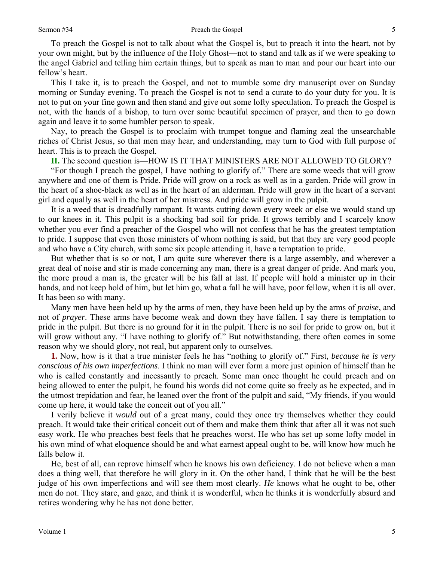To preach the Gospel is not to talk about what the Gospel is, but to preach it into the heart, not by your own might, but by the influence of the Holy Ghost—not to stand and talk as if we were speaking to the angel Gabriel and telling him certain things, but to speak as man to man and pour our heart into our fellow's heart.

This I take it, is to preach the Gospel, and not to mumble some dry manuscript over on Sunday morning or Sunday evening. To preach the Gospel is not to send a curate to do your duty for you. It is not to put on your fine gown and then stand and give out some lofty speculation. To preach the Gospel is not, with the hands of a bishop, to turn over some beautiful specimen of prayer, and then to go down again and leave it to some humbler person to speak.

Nay, to preach the Gospel is to proclaim with trumpet tongue and flaming zeal the unsearchable riches of Christ Jesus, so that men may hear, and understanding, may turn to God with full purpose of heart. This is to preach the Gospel.

**II.** The second question is—HOW IS IT THAT MINISTERS ARE NOT ALLOWED TO GLORY?

"For though I preach the gospel, I have nothing to glorify of." There are some weeds that will grow anywhere and one of them is Pride. Pride will grow on a rock as well as in a garden. Pride will grow in the heart of a shoe-black as well as in the heart of an alderman. Pride will grow in the heart of a servant girl and equally as well in the heart of her mistress. And pride will grow in the pulpit.

It is a weed that is dreadfully rampant. It wants cutting down every week or else we would stand up to our knees in it. This pulpit is a shocking bad soil for pride. It grows terribly and I scarcely know whether you ever find a preacher of the Gospel who will not confess that he has the greatest temptation to pride. I suppose that even those ministers of whom nothing is said, but that they are very good people and who have a City church, with some six people attending it, have a temptation to pride.

But whether that is so or not, I am quite sure wherever there is a large assembly, and wherever a great deal of noise and stir is made concerning any man, there is a great danger of pride. And mark you, the more proud a man is, the greater will be his fall at last. If people will hold a minister up in their hands, and not keep hold of him, but let him go, what a fall he will have, poor fellow, when it is all over. It has been so with many.

Many men have been held up by the arms of men, they have been held up by the arms of *praise*, and not of *prayer*. These arms have become weak and down they have fallen. I say there is temptation to pride in the pulpit. But there is no ground for it in the pulpit. There is no soil for pride to grow on, but it will grow without any. "I have nothing to glorify of." But notwithstanding, there often comes in some reason why we should glory, not real, but apparent only to ourselves.

**1.** Now, how is it that a true minister feels he has "nothing to glorify of." First, *because he is very conscious of his own imperfections*. I think no man will ever form a more just opinion of himself than he who is called constantly and incessantly to preach. Some man once thought he could preach and on being allowed to enter the pulpit, he found his words did not come quite so freely as he expected, and in the utmost trepidation and fear, he leaned over the front of the pulpit and said, "My friends, if you would come up here, it would take the conceit out of you all."

I verily believe it *would* out of a great many, could they once try themselves whether they could preach. It would take their critical conceit out of them and make them think that after all it was not such easy work. He who preaches best feels that he preaches worst. He who has set up some lofty model in his own mind of what eloquence should be and what earnest appeal ought to be, will know how much he falls below it.

He, best of all, can reprove himself when he knows his own deficiency. I do not believe when a man does a thing well, that therefore he will glory in it. On the other hand, I think that he will be the best judge of his own imperfections and will see them most clearly. *He* knows what he ought to be, other men do not. They stare, and gaze, and think it is wonderful, when he thinks it is wonderfully absurd and retires wondering why he has not done better.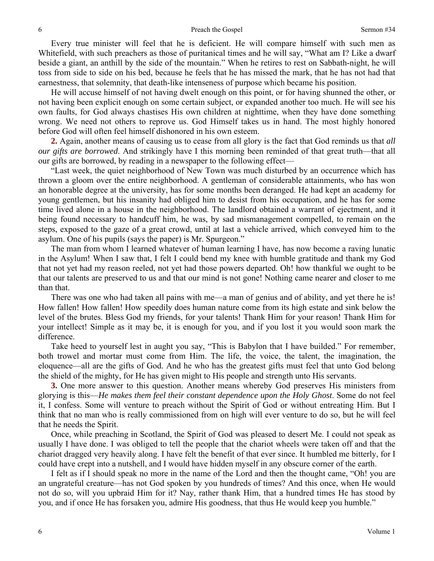Every true minister will feel that he is deficient. He will compare himself with such men as Whitefield, with such preachers as those of puritanical times and he will say, "What am I? Like a dwarf beside a giant, an anthill by the side of the mountain." When he retires to rest on Sabbath-night, he will toss from side to side on his bed, because he feels that he has missed the mark, that he has not had that earnestness, that solemnity, that death-like intenseness of purpose which became his position.

He will accuse himself of not having dwelt enough on this point, or for having shunned the other, or not having been explicit enough on some certain subject, or expanded another too much. He will see his own faults, for God always chastises His own children at nighttime, when they have done something wrong. We need not others to reprove us. God Himself takes us in hand. The most highly honored before God will often feel himself dishonored in his own esteem.

**2.** Again, another means of causing us to cease from all glory is the fact that God reminds us that *all our gifts are borrowed*. And strikingly have I this morning been reminded of that great truth—that all our gifts are borrowed, by reading in a newspaper to the following effect—

"Last week, the quiet neighborhood of New Town was much disturbed by an occurrence which has thrown a gloom over the entire neighborhood. A gentleman of considerable attainments, who has won an honorable degree at the university, has for some months been deranged. He had kept an academy for young gentlemen, but his insanity had obliged him to desist from his occupation, and he has for some time lived alone in a house in the neighborhood. The landlord obtained a warrant of ejectment, and it being found necessary to handcuff him, he was, by sad mismanagement compelled, to remain on the steps, exposed to the gaze of a great crowd, until at last a vehicle arrived, which conveyed him to the asylum. One of his pupils (says the paper) is Mr. Spurgeon."

The man from whom I learned whatever of human learning I have, has now become a raving lunatic in the Asylum! When I saw that, I felt I could bend my knee with humble gratitude and thank my God that not yet had my reason reeled, not yet had those powers departed. Oh! how thankful we ought to be that our talents are preserved to us and that our mind is not gone! Nothing came nearer and closer to me than that.

There was one who had taken all pains with me—a man of genius and of ability, and yet there he is! How fallen! How fallen! How speedily does human nature come from its high estate and sink below the level of the brutes. Bless God my friends, for your talents! Thank Him for your reason! Thank Him for your intellect! Simple as it may be, it is enough for you, and if you lost it you would soon mark the difference.

Take heed to yourself lest in aught you say, "This is Babylon that I have builded." For remember, both trowel and mortar must come from Him. The life, the voice, the talent, the imagination, the eloquence—all are the gifts of God. And he who has the greatest gifts must feel that unto God belong the shield of the mighty, for He has given might to His people and strength unto His servants.

**3.** One more answer to this question. Another means whereby God preserves His ministers from glorying is this—*He makes them feel their constant dependence upon the Holy Ghost*. Some do not feel it, I confess. Some will venture to preach without the Spirit of God or without entreating Him. But I think that no man who is really commissioned from on high will ever venture to do so, but he will feel that he needs the Spirit.

Once, while preaching in Scotland, the Spirit of God was pleased to desert Me. I could not speak as usually I have done. I was obliged to tell the people that the chariot wheels were taken off and that the chariot dragged very heavily along. I have felt the benefit of that ever since. It humbled me bitterly, for I could have crept into a nutshell, and I would have hidden myself in any obscure corner of the earth.

I felt as if I should speak no more in the name of the Lord and then the thought came, "Oh! you are an ungrateful creature—has not God spoken by you hundreds of times? And this once, when He would not do so, will you upbraid Him for it? Nay, rather thank Him, that a hundred times He has stood by you, and if once He has forsaken you, admire His goodness, that thus He would keep you humble."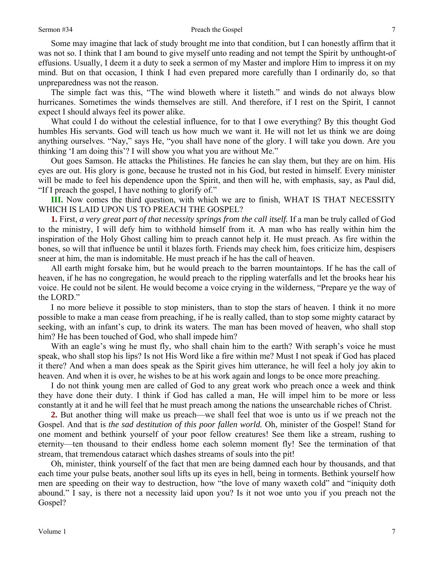Some may imagine that lack of study brought me into that condition, but I can honestly affirm that it was not so. I think that I am bound to give myself unto reading and not tempt the Spirit by unthought-of effusions. Usually, I deem it a duty to seek a sermon of my Master and implore Him to impress it on my mind. But on that occasion, I think I had even prepared more carefully than I ordinarily do, so that unpreparedness was not the reason.

The simple fact was this, "The wind bloweth where it listeth." and winds do not always blow hurricanes. Sometimes the winds themselves are still. And therefore, if I rest on the Spirit, I cannot expect I should always feel its power alike.

What could I do without the celestial influence, for to that I owe everything? By this thought God humbles His servants. God will teach us how much we want it. He will not let us think we are doing anything ourselves. "Nay," says He, "you shall have none of the glory. I will take you down. Are you thinking 'I am doing this'? I will show you what you are without Me."

Out goes Samson. He attacks the Philistines. He fancies he can slay them, but they are on him. His eyes are out. His glory is gone, because he trusted not in his God, but rested in himself. Every minister will be made to feel his dependence upon the Spirit, and then will he, with emphasis, say, as Paul did, "If I preach the gospel, I have nothing to glorify of."

**III.** Now comes the third question, with which we are to finish, WHAT IS THAT NECESSITY WHICH IS LAID UPON US TO PREACH THE GOSPEL?

**1.** First, *a very great part of that necessity springs from the call itself.* If a man be truly called of God to the ministry, I will defy him to withhold himself from it. A man who has really within him the inspiration of the Holy Ghost calling him to preach cannot help it. He must preach. As fire within the bones, so will that influence be until it blazes forth. Friends may check him, foes criticize him, despisers sneer at him, the man is indomitable. He must preach if he has the call of heaven.

All earth might forsake him, but he would preach to the barren mountaintops. If he has the call of heaven, if he has no congregation, he would preach to the rippling waterfalls and let the brooks hear his voice. He could not be silent. He would become a voice crying in the wilderness, "Prepare ye the way of the LORD."

I no more believe it possible to stop ministers, than to stop the stars of heaven. I think it no more possible to make a man cease from preaching, if he is really called, than to stop some mighty cataract by seeking, with an infant's cup, to drink its waters. The man has been moved of heaven, who shall stop him? He has been touched of God, who shall impede him?

With an eagle's wing he must fly, who shall chain him to the earth? With seraph's voice he must speak, who shall stop his lips? Is not His Word like a fire within me? Must I not speak if God has placed it there? And when a man does speak as the Spirit gives him utterance, he will feel a holy joy akin to heaven. And when it is over, he wishes to be at his work again and longs to be once more preaching.

I do not think young men are called of God to any great work who preach once a week and think they have done their duty. I think if God has called a man, He will impel him to be more or less constantly at it and he will feel that he must preach among the nations the unsearchable riches of Christ.

**2.** But another thing will make us preach—we shall feel that woe is unto us if we preach not the Gospel. And that is *the sad destitution of this poor fallen world.* Oh, minister of the Gospel! Stand for one moment and bethink yourself of your poor fellow creatures! See them like a stream, rushing to eternity—ten thousand to their endless home each solemn moment fly! See the termination of that stream, that tremendous cataract which dashes streams of souls into the pit!

Oh, minister, think yourself of the fact that men are being damned each hour by thousands, and that each time your pulse beats, another soul lifts up its eyes in hell, being in torments. Bethink yourself how men are speeding on their way to destruction, how "the love of many waxeth cold" and "iniquity doth abound." I say, is there not a necessity laid upon you? Is it not woe unto you if you preach not the Gospel?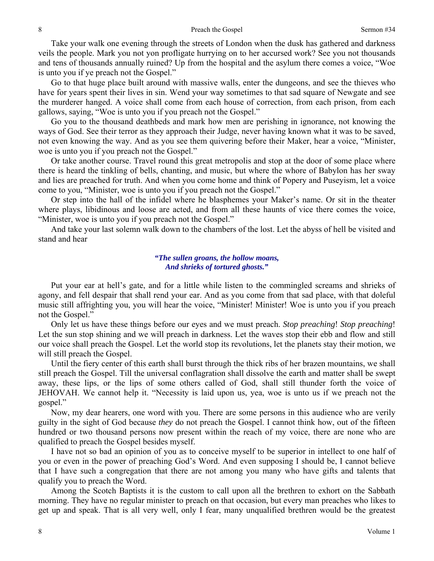Take your walk one evening through the streets of London when the dusk has gathered and darkness veils the people. Mark you not yon profligate hurrying on to her accursed work? See you not thousands and tens of thousands annually ruined? Up from the hospital and the asylum there comes a voice, "Woe is unto you if ye preach not the Gospel."

Go to that huge place built around with massive walls, enter the dungeons, and see the thieves who have for years spent their lives in sin. Wend your way sometimes to that sad square of Newgate and see the murderer hanged. A voice shall come from each house of correction, from each prison, from each gallows, saying, "Woe is unto you if you preach not the Gospel."

Go you to the thousand deathbeds and mark how men are perishing in ignorance, not knowing the ways of God. See their terror as they approach their Judge, never having known what it was to be saved, not even knowing the way. And as you see them quivering before their Maker, hear a voice, "Minister, woe is unto you if you preach not the Gospel."

Or take another course. Travel round this great metropolis and stop at the door of some place where there is heard the tinkling of bells, chanting, and music, but where the whore of Babylon has her sway and lies are preached for truth. And when you come home and think of Popery and Puseyism, let a voice come to you, "Minister, woe is unto you if you preach not the Gospel."

Or step into the hall of the infidel where he blasphemes your Maker's name. Or sit in the theater where plays, libidinous and loose are acted, and from all these haunts of vice there comes the voice, "Minister, woe is unto you if you preach not the Gospel."

And take your last solemn walk down to the chambers of the lost. Let the abyss of hell be visited and stand and hear

### *"The sullen groans, the hollow moans, And shrieks of tortured ghosts."*

Put your ear at hell's gate, and for a little while listen to the commingled screams and shrieks of agony, and fell despair that shall rend your ear. And as you come from that sad place, with that doleful music still affrighting you, you will hear the voice, "Minister! Minister! Woe is unto you if you preach not the Gospel."

Only let us have these things before our eyes and we must preach. *Stop preaching*! *Stop preaching*! Let the sun stop shining and we will preach in darkness. Let the waves stop their ebb and flow and still our voice shall preach the Gospel. Let the world stop its revolutions, let the planets stay their motion, we will still preach the Gospel.

Until the fiery center of this earth shall burst through the thick ribs of her brazen mountains, we shall still preach the Gospel. Till the universal conflagration shall dissolve the earth and matter shall be swept away, these lips, or the lips of some others called of God, shall still thunder forth the voice of JEHOVAH. We cannot help it. "Necessity is laid upon us, yea, woe is unto us if we preach not the gospel."

Now, my dear hearers, one word with you. There are some persons in this audience who are verily guilty in the sight of God because *they* do not preach the Gospel. I cannot think how, out of the fifteen hundred or two thousand persons now present within the reach of my voice, there are none who are qualified to preach the Gospel besides myself.

I have not so bad an opinion of you as to conceive myself to be superior in intellect to one half of you or even in the power of preaching God's Word. And even supposing I should be, I cannot believe that I have such a congregation that there are not among you many who have gifts and talents that qualify you to preach the Word.

Among the Scotch Baptists it is the custom to call upon all the brethren to exhort on the Sabbath morning. They have no regular minister to preach on that occasion, but every man preaches who likes to get up and speak. That is all very well, only I fear, many unqualified brethren would be the greatest